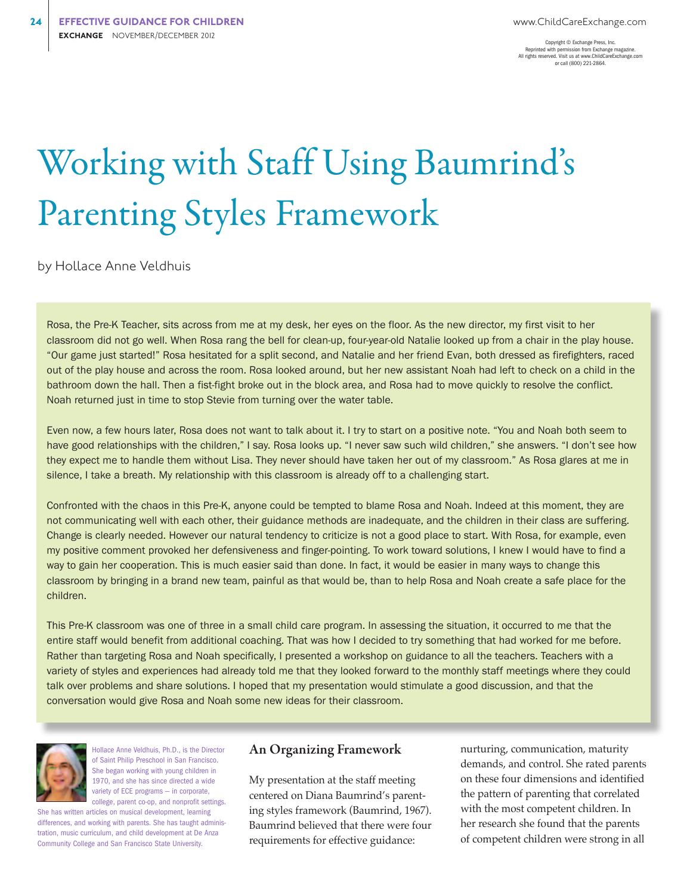Copyright © Exchange Press, Inc. Reprinted with permission from Exchange magazine. All rights reserved. Visit us at www.ChildCareExchange.com or call (800) 221-2864.

# Working with Staff Using Baumrind's Parenting Styles Framework

by Hollace Anne Veldhuis

Rosa, the Pre-K Teacher, sits across from me at my desk, her eyes on the floor. As the new director, my first visit to her classroom did not go well. When Rosa rang the bell for clean-up, four-year-old Natalie looked up from a chair in the play house. "Our game just started!" Rosa hesitated for a split second, and Natalie and her friend Evan, both dressed as firefighters, raced out of the play house and across the room. Rosa looked around, but her new assistant Noah had left to check on a child in the bathroom down the hall. Then a fist-fight broke out in the block area, and Rosa had to move quickly to resolve the conflict. Noah returned just in time to stop Stevie from turning over the water table.

Even now, a few hours later, Rosa does not want to talk about it. I try to start on a positive note. "You and Noah both seem to have good relationships with the children," I say. Rosa looks up. "I never saw such wild children," she answers. "I don't see how they expect me to handle them without Lisa. They never should have taken her out of my classroom." As Rosa glares at me in silence, I take a breath. My relationship with this classroom is already off to a challenging start.

Confronted with the chaos in this Pre-K, anyone could be tempted to blame Rosa and Noah. Indeed at this moment, they are not communicating well with each other, their guidance methods are inadequate, and the children in their class are suffering. Change is clearly needed. However our natural tendency to criticize is not a good place to start. With Rosa, for example, even my positive comment provoked her defensiveness and finger-pointing. To work toward solutions, I knew I would have to find a way to gain her cooperation. This is much easier said than done. In fact, it would be easier in many ways to change this classroom by bringing in a brand new team, painful as that would be, than to help Rosa and Noah create a safe place for the children.

This Pre-K classroom was one of three in a small child care program. In assessing the situation, it occurred to me that the entire staff would benefit from additional coaching. That was how I decided to try something that had worked for me before. Rather than targeting Rosa and Noah specifically, I presented a workshop on guidance to all the teachers. Teachers with a variety of styles and experiences had already told me that they looked forward to the monthly staff meetings where they could talk over problems and share solutions. I hoped that my presentation would stimulate a good discussion, and that the conversation would give Rosa and Noah some new ideas for their classroom.



Hollace Anne Veldhuis, Ph.D., is the Director of Saint Philip Preschool in San Francisco. She began working with young children in 1970, and she has since directed a wide variety of ECE programs — in corporate, college, parent co-op, and nonprofit settings.

She has written articles on musical development, learning differences, and working with parents. She has taught administration, music curriculum, and child development at De Anza Community College and San Francisco State University.

#### An Organizing Framework

My presentation at the staff meeting centered on Diana Baumrind's parenting styles framework (Baumrind, 1967). Baumrind believed that there were four requirements for effective guidance:

nurturing, communication, maturity demands, and control. She rated parents on these four dimensions and identified the pattern of parenting that correlated with the most competent children. In her research she found that the parents of competent children were strong in all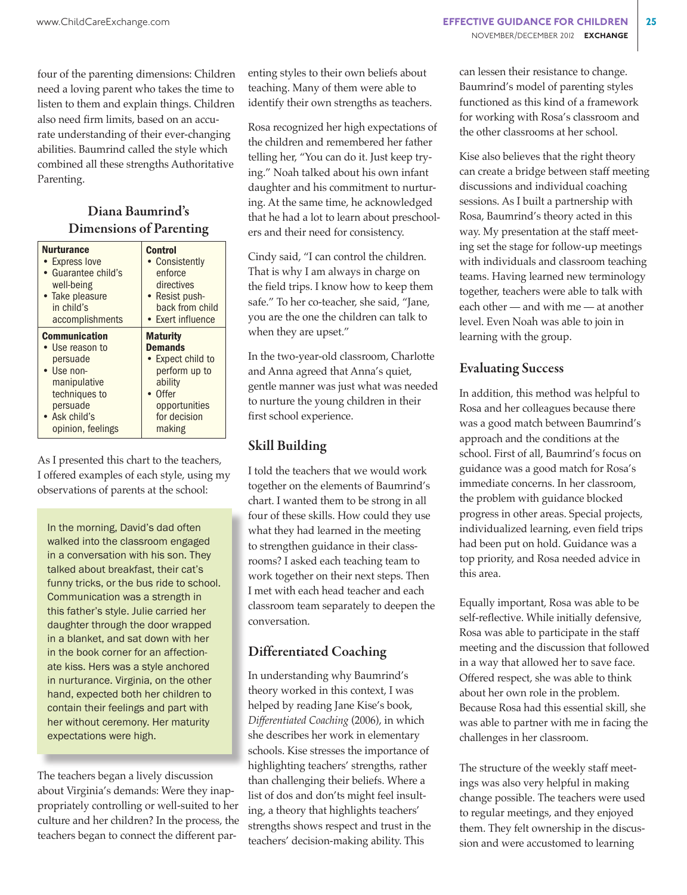four of the parenting dimensions: Children need a loving parent who takes the time to listen to them and explain things. Children also need firm limits, based on an accurate understanding of their ever-changing abilities. Baumrind called the style which combined all these strengths Authoritative Parenting.

# Diana Baumrind's Dimensions of Parenting

| <b>Nurturance</b>    | <b>Control</b>    |
|----------------------|-------------------|
| • Express love       | • Consistently    |
| • Guarantee child's  | enforce           |
| well-being           | directives        |
| • Take pleasure      | • Resist push-    |
| in child's           | back from child   |
| accomplishments      | • Exert influence |
| <b>Communication</b> | <b>Maturity</b>   |
| • Use reason to      | <b>Demands</b>    |
| persuade             | • Expect child to |
| • Use non-           | perform up to     |
| manipulative         | ability           |
| techniques to        | Offer             |
| persuade             | opportunities     |
| • Ask child's        | for decision      |
| opinion, feelings    | making            |

As I presented this chart to the teachers, I offered examples of each style, using my observations of parents at the school:

In the morning, David's dad often walked into the classroom engaged in a conversation with his son. They talked about breakfast, their cat's funny tricks, or the bus ride to school. Communication was a strength in this father's style. Julie carried her daughter through the door wrapped in a blanket, and sat down with her in the book corner for an affectionate kiss. Hers was a style anchored in nurturance. Virginia, on the other hand, expected both her children to contain their feelings and part with her without ceremony. Her maturity expectations were high.

The teachers began a lively discussion about Virginia's demands: Were they inappropriately controlling or well-suited to her culture and her children? In the process, the teachers began to connect the different parenting styles to their own beliefs about teaching. Many of them were able to identify their own strengths as teachers.

Rosa recognized her high expectations of the children and remembered her father telling her, "You can do it. Just keep trying." Noah talked about his own infant daughter and his commitment to nurturing. At the same time, he acknowledged that he had a lot to learn about preschoolers and their need for consistency.

Cindy said, "I can control the children. That is why I am always in charge on the field trips. I know how to keep them safe." To her co-teacher, she said, "Jane, you are the one the children can talk to when they are upset."

In the two-year-old classroom, Charlotte and Anna agreed that Anna's quiet, gentle manner was just what was needed to nurture the young children in their first school experience.

## Skill Building

I told the teachers that we would work together on the elements of Baumrind's chart. I wanted them to be strong in all four of these skills. How could they use what they had learned in the meeting to strengthen guidance in their classrooms? I asked each teaching team to work together on their next steps. Then I met with each head teacher and each classroom team separately to deepen the conversation.

# Differentiated Coaching

In understanding why Baumrind's theory worked in this context, I was helped by reading Jane Kise's book, *Differentiated Coaching* (2006), in which she describes her work in elementary schools. Kise stresses the importance of highlighting teachers' strengths, rather than challenging their beliefs. Where a list of dos and don'ts might feel insulting, a theory that highlights teachers' strengths shows respect and trust in the teachers' decision-making ability. This

can lessen their resistance to change. Baumrind's model of parenting styles functioned as this kind of a framework for working with Rosa's classroom and the other classrooms at her school.

Kise also believes that the right theory can create a bridge between staff meeting discussions and individual coaching sessions. As I built a partnership with Rosa, Baumrind's theory acted in this way. My presentation at the staff meeting set the stage for follow-up meetings with individuals and classroom teaching teams. Having learned new terminology together, teachers were able to talk with each other — and with me — at another level. Even Noah was able to join in learning with the group.

## Evaluating Success

In addition, this method was helpful to Rosa and her colleagues because there was a good match between Baumrind's approach and the conditions at the school. First of all, Baumrind's focus on guidance was a good match for Rosa's immediate concerns. In her classroom, the problem with guidance blocked progress in other areas. Special projects, individualized learning, even field trips had been put on hold. Guidance was a top priority, and Rosa needed advice in this area.

Equally important, Rosa was able to be self-reflective. While initially defensive, Rosa was able to participate in the staff meeting and the discussion that followed in a way that allowed her to save face. Offered respect, she was able to think about her own role in the problem. Because Rosa had this essential skill, she was able to partner with me in facing the challenges in her classroom.

The structure of the weekly staff meetings was also very helpful in making change possible. The teachers were used to regular meetings, and they enjoyed them. They felt ownership in the discussion and were accustomed to learning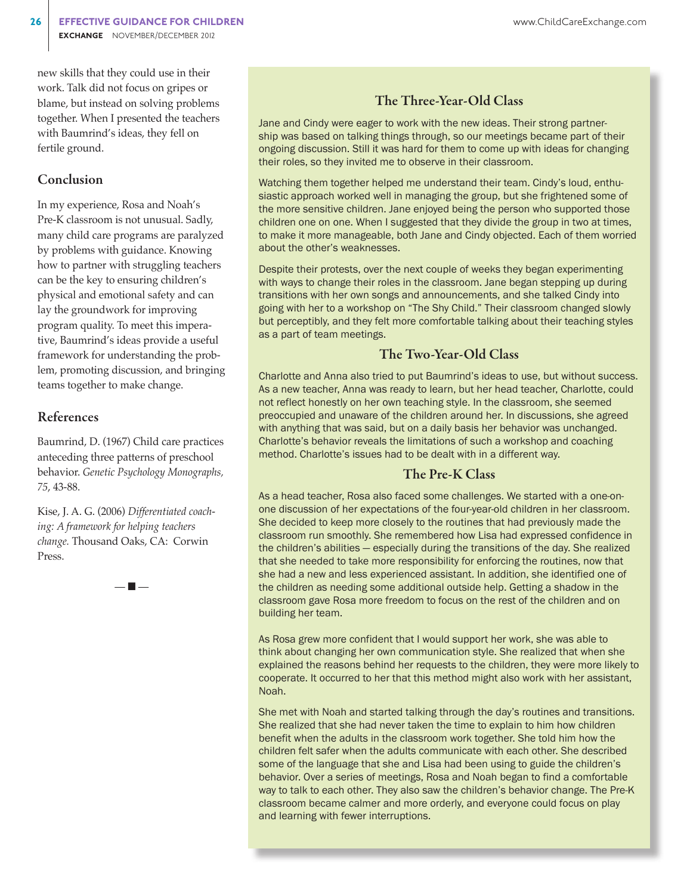new skills that they could use in their work. Talk did not focus on gripes or blame, but instead on solving problems together. When I presented the teachers with Baumrind's ideas, they fell on fertile ground.

#### Conclusion

In my experience, Rosa and Noah's Pre-K classroom is not unusual. Sadly, many child care programs are paralyzed by problems with guidance. Knowing how to partner with struggling teachers can be the key to ensuring children's physical and emotional safety and can lay the groundwork for improving program quality. To meet this imperative, Baumrind's ideas provide a useful framework for understanding the problem, promoting discussion, and bringing teams together to make change.

## References

Baumrind, D. (1967) Child care practices anteceding three patterns of preschool behavior. *Genetic Psychology Monographs, 75*, 43-88.

Kise, J. A. G. (2006) *Differentiated coaching: A framework for helping teachers change.* Thousand Oaks, CA: Corwin Press.

— n —

## The Three-Year-Old Class

Jane and Cindy were eager to work with the new ideas. Their strong partnership was based on talking things through, so our meetings became part of their ongoing discussion. Still it was hard for them to come up with ideas for changing their roles, so they invited me to observe in their classroom.

Watching them together helped me understand their team. Cindy's loud, enthusiastic approach worked well in managing the group, but she frightened some of the more sensitive children. Jane enjoyed being the person who supported those children one on one. When I suggested that they divide the group in two at times, to make it more manageable, both Jane and Cindy objected. Each of them worried about the other's weaknesses.

Despite their protests, over the next couple of weeks they began experimenting with ways to change their roles in the classroom. Jane began stepping up during transitions with her own songs and announcements, and she talked Cindy into going with her to a workshop on "The Shy Child." Their classroom changed slowly but perceptibly, and they felt more comfortable talking about their teaching styles as a part of team meetings.

## The Two-Year-Old Class

Charlotte and Anna also tried to put Baumrind's ideas to use, but without success. As a new teacher, Anna was ready to learn, but her head teacher, Charlotte, could not reflect honestly on her own teaching style. In the classroom, she seemed preoccupied and unaware of the children around her. In discussions, she agreed with anything that was said, but on a daily basis her behavior was unchanged. Charlotte's behavior reveals the limitations of such a workshop and coaching method. Charlotte's issues had to be dealt with in a different way.

#### The Pre-K Class

As a head teacher, Rosa also faced some challenges. We started with a one-onone discussion of her expectations of the four-year-old children in her classroom. She decided to keep more closely to the routines that had previously made the classroom run smoothly. She remembered how Lisa had expressed confidence in the children's abilities — especially during the transitions of the day. She realized that she needed to take more responsibility for enforcing the routines, now that she had a new and less experienced assistant. In addition, she identified one of the children as needing some additional outside help. Getting a shadow in the classroom gave Rosa more freedom to focus on the rest of the children and on building her team.

As Rosa grew more confident that I would support her work, she was able to think about changing her own communication style. She realized that when she explained the reasons behind her requests to the children, they were more likely to cooperate. It occurred to her that this method might also work with her assistant, Noah.

She met with Noah and started talking through the day's routines and transitions. She realized that she had never taken the time to explain to him how children benefit when the adults in the classroom work together. She told him how the children felt safer when the adults communicate with each other. She described some of the language that she and Lisa had been using to guide the children's behavior. Over a series of meetings, Rosa and Noah began to find a comfortable way to talk to each other. They also saw the children's behavior change. The Pre-K classroom became calmer and more orderly, and everyone could focus on play and learning with fewer interruptions.